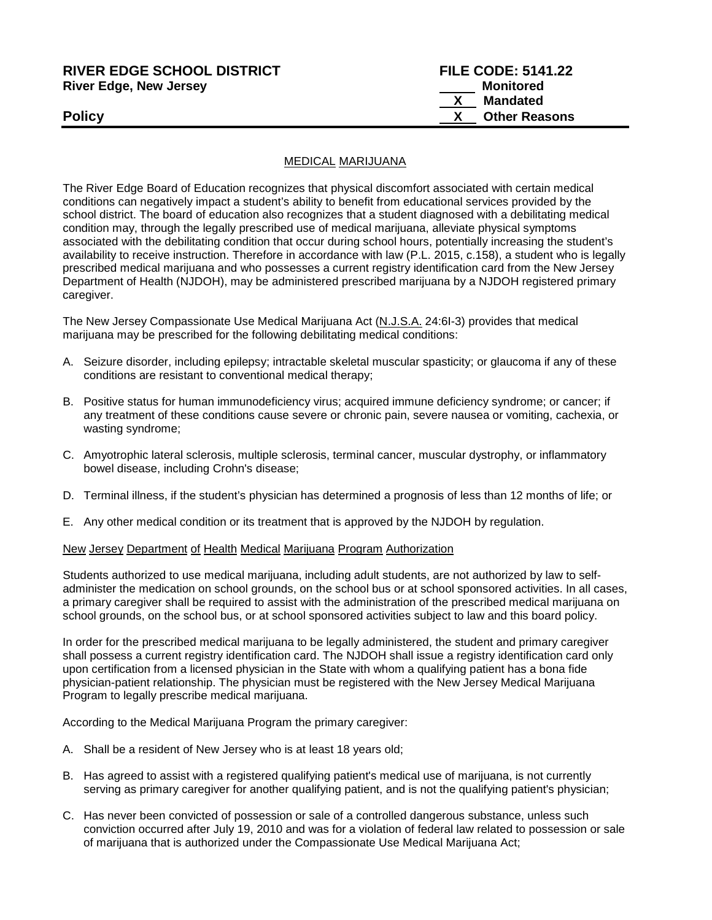# **RIVER EDGE SCHOOL DISTRICT FILE CODE: 5141.22 River Edge, New Jersey Monitored X Mandated Policy Policy Policy Policy Policy** *X* **Other Reasons**

#### MEDICAL MARIJUANA

The River Edge Board of Education recognizes that physical discomfort associated with certain medical conditions can negatively impact a student's ability to benefit from educational services provided by the school district. The board of education also recognizes that a student diagnosed with a debilitating medical condition may, through the legally prescribed use of medical marijuana, alleviate physical symptoms associated with the debilitating condition that occur during school hours, potentially increasing the student's availability to receive instruction. Therefore in accordance with law (P.L. 2015, c.158), a student who is legally prescribed medical marijuana and who possesses a current registry identification card from the New Jersey Department of Health (NJDOH), may be administered prescribed marijuana by a NJDOH registered primary caregiver.

The New Jersey Compassionate Use Medical Marijuana Act (N.J.S.A. 24:6I-3) provides that medical marijuana may be prescribed for the following debilitating medical conditions:

- A. Seizure disorder, including epilepsy; intractable skeletal muscular spasticity; or glaucoma if any of these conditions are resistant to conventional medical therapy;
- B. Positive status for human immunodeficiency virus; acquired immune deficiency syndrome; or cancer; if any treatment of these conditions cause severe or chronic pain, severe nausea or vomiting, cachexia, or wasting syndrome;
- C. Amyotrophic lateral sclerosis, multiple sclerosis, terminal cancer, muscular dystrophy, or inflammatory bowel disease, including Crohn's disease;
- D. Terminal illness, if the student's physician has determined a prognosis of less than 12 months of life; or
- E. Any other medical condition or its treatment that is approved by the NJDOH by regulation.

#### New Jersey Department of Health Medical Marijuana Program Authorization

Students authorized to use medical marijuana, including adult students, are not authorized by law to selfadminister the medication on school grounds, on the school bus or at school sponsored activities. In all cases, a primary caregiver shall be required to assist with the administration of the prescribed medical marijuana on school grounds, on the school bus, or at school sponsored activities subject to law and this board policy.

In order for the prescribed medical marijuana to be legally administered, the student and primary caregiver shall possess a current registry identification card. The NJDOH shall issue a registry identification card only upon certification from a licensed physician in the State with whom a qualifying patient has a bona fide physician-patient relationship. The physician must be registered with the New Jersey Medical Marijuana Program to legally prescribe medical marijuana.

According to the Medical Marijuana Program the primary caregiver:

- A. Shall be a resident of New Jersey who is at least 18 years old;
- B. Has agreed to assist with a registered qualifying patient's medical use of marijuana, is not currently serving as primary caregiver for another qualifying patient, and is not the qualifying patient's physician;
- C. Has never been convicted of possession or sale of a controlled dangerous substance, unless such conviction occurred after July 19, 2010 and was for a violation of federal law related to possession or sale of marijuana that is authorized under the Compassionate Use Medical Marijuana Act;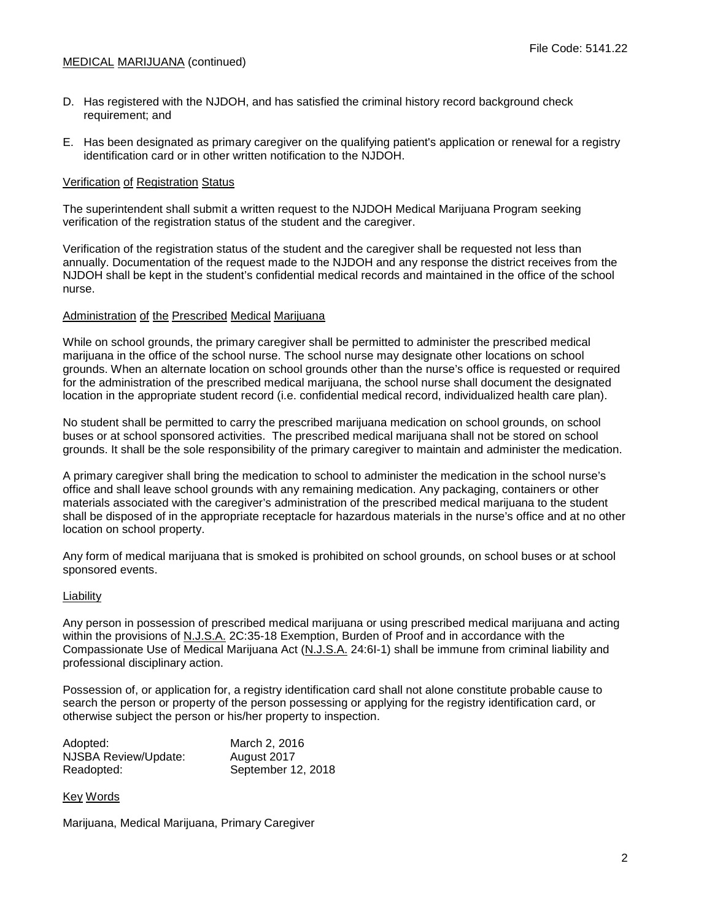- D. Has registered with the NJDOH, and has satisfied the criminal history record background check requirement; and
- E. Has been designated as primary caregiver on the qualifying patient's application or renewal for a registry identification card or in other written notification to the NJDOH.

### Verification of Registration Status

The superintendent shall submit a written request to the NJDOH Medical Marijuana Program seeking verification of the registration status of the student and the caregiver.

Verification of the registration status of the student and the caregiver shall be requested not less than annually. Documentation of the request made to the NJDOH and any response the district receives from the NJDOH shall be kept in the student's confidential medical records and maintained in the office of the school nurse.

#### Administration of the Prescribed Medical Marijuana

While on school grounds, the primary caregiver shall be permitted to administer the prescribed medical marijuana in the office of the school nurse. The school nurse may designate other locations on school grounds. When an alternate location on school grounds other than the nurse's office is requested or required for the administration of the prescribed medical marijuana, the school nurse shall document the designated location in the appropriate student record (i.e. confidential medical record, individualized health care plan).

No student shall be permitted to carry the prescribed marijuana medication on school grounds, on school buses or at school sponsored activities. The prescribed medical marijuana shall not be stored on school grounds. It shall be the sole responsibility of the primary caregiver to maintain and administer the medication.

A primary caregiver shall bring the medication to school to administer the medication in the school nurse's office and shall leave school grounds with any remaining medication. Any packaging, containers or other materials associated with the caregiver's administration of the prescribed medical marijuana to the student shall be disposed of in the appropriate receptacle for hazardous materials in the nurse's office and at no other location on school property.

Any form of medical marijuana that is smoked is prohibited on school grounds, on school buses or at school sponsored events.

#### Liability

Any person in possession of prescribed medical marijuana or using prescribed medical marijuana and acting within the provisions of N.J.S.A. 2C:35-18 Exemption, Burden of Proof and in accordance with the Compassionate Use of Medical Marijuana Act (N.J.S.A. 24:6I-1) shall be immune from criminal liability and professional disciplinary action.

Possession of, or application for, a registry identification card shall not alone constitute probable cause to search the person or property of the person possessing or applying for the registry identification card, or otherwise subject the person or his/her property to inspection.

| Adopted:             | March 2, 2016      |
|----------------------|--------------------|
| NJSBA Review/Update: | August 2017        |
| Readopted:           | September 12, 2018 |

#### Key Words

Marijuana, Medical Marijuana, Primary Caregiver